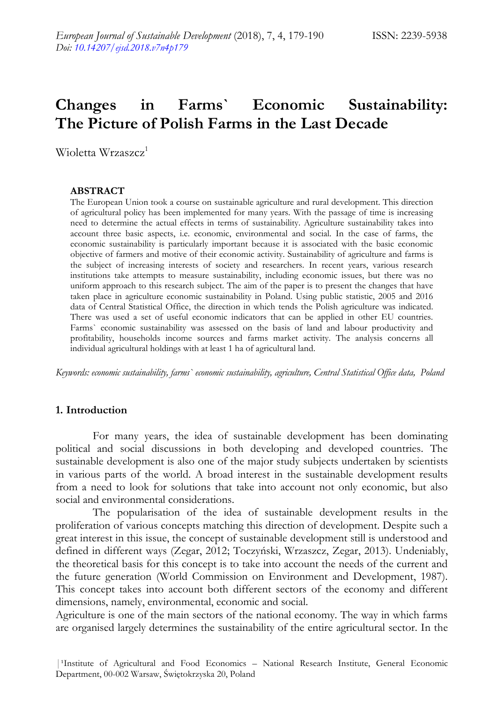# **Changes in Farms` Economic Sustainability: The Picture of Polish Farms in the Last Decade**

Wioletta Wrzaszcz<sup>1</sup>

#### **ABSTRACT**

The European Union took a course on sustainable agriculture and rural development. This direction of agricultural policy has been implemented for many years. With the passage of time is increasing need to determine the actual effects in terms of sustainability. Agriculture sustainability takes into account three basic aspects, i.e. economic, environmental and social. In the case of farms, the economic sustainability is particularly important because it is associated with the basic economic objective of farmers and motive of their economic activity. Sustainability of agriculture and farms is the subject of increasing interests of society and researchers. In recent years, various research institutions take attempts to measure sustainability, including economic issues, but there was no uniform approach to this research subject. The aim of the paper is to present the changes that have taken place in agriculture economic sustainability in Poland. Using public statistic, 2005 and 2016 data of Central Statistical Office, the direction in which tends the Polish agriculture was indicated. There was used a set of useful economic indicators that can be applied in other EU countries. Farms` economic sustainability was assessed on the basis of land and labour productivity and profitability, households income sources and farms market activity. The analysis concerns all individual agricultural holdings with at least 1 ha of agricultural land.

*Keywords: economic sustainability, farms` economic sustainability, agriculture, Central Statistical Office data, Poland*

#### **1. Introduction**

For many years, the idea of sustainable development has been dominating political and social discussions in both developing and developed countries. The sustainable development is also one of the major study subjects undertaken by scientists in various parts of the world. A broad interest in the sustainable development results from a need to look for solutions that take into account not only economic, but also social and environmental considerations.

The popularisation of the idea of sustainable development results in the proliferation of various concepts matching this direction of development. Despite such a great interest in this issue, the concept of sustainable development still is understood and defined in different ways (Zegar, 2012; Toczyński, Wrzaszcz, Zegar, 2013). Undeniably, the theoretical basis for this concept is to take into account the needs of the current and the future generation (World Commission on Environment and Development, 1987). This concept takes into account both different sectors of the economy and different dimensions, namely, environmental, economic and social.

Agriculture is one of the main sectors of the national economy. The way in which farms are organised largely determines the sustainability of the entire agricultural sector. In the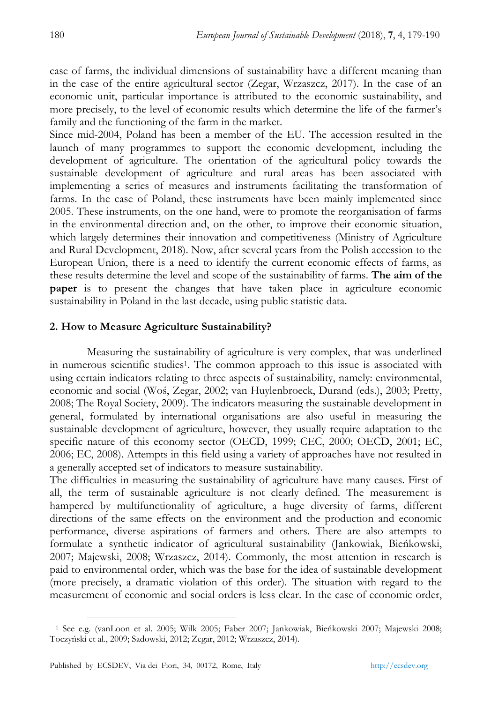case of farms, the individual dimensions of sustainability have a different meaning than in the case of the entire agricultural sector (Zegar, Wrzaszcz, 2017). In the case of an economic unit, particular importance is attributed to the economic sustainability, and more precisely, to the level of economic results which determine the life of the farmer's family and the functioning of the farm in the market.

Since mid-2004, Poland has been a member of the EU. The accession resulted in the launch of many programmes to support the economic development, including the development of agriculture. The orientation of the agricultural policy towards the sustainable development of agriculture and rural areas has been associated with implementing a series of measures and instruments facilitating the transformation of farms. In the case of Poland, these instruments have been mainly implemented since 2005. These instruments, on the one hand, were to promote the reorganisation of farms in the environmental direction and, on the other, to improve their economic situation, which largely determines their innovation and competitiveness (Ministry of Agriculture and Rural Development, 2018). Now, after several years from the Polish accession to the European Union, there is a need to identify the current economic effects of farms, as these results determine the level and scope of the sustainability of farms. **The aim of the paper** is to present the changes that have taken place in agriculture economic sustainability in Poland in the last decade, using public statistic data.

## **2. How to Measure Agriculture Sustainability?**

Measuring the sustainability of agriculture is very complex, that was underlined in numerous scientific studies<sup>1</sup>. The common approach to this issue is associated with using certain indicators relating to three aspects of sustainability, namely: environmental, economic and social (Woś, Zegar, 2002; van Huylenbroeck, Durand (eds.), 2003; Pretty, 2008; The Royal Society, 2009). The indicators measuring the sustainable development in general, formulated by international organisations are also useful in measuring the sustainable development of agriculture, however, they usually require adaptation to the specific nature of this economy sector (OECD, 1999; CEC, 2000; OECD, 2001; EC, 2006; EC, 2008). Attempts in this field using a variety of approaches have not resulted in a generally accepted set of indicators to measure sustainability.

The difficulties in measuring the sustainability of agriculture have many causes. First of all, the term of sustainable agriculture is not clearly defined. The measurement is hampered by multifunctionality of agriculture, a huge diversity of farms, different directions of the same effects on the environment and the production and economic performance, diverse aspirations of farmers and others. There are also attempts to formulate a synthetic indicator of agricultural sustainability (Jankowiak, Bieńkowski, 2007; Majewski, 2008; Wrzaszcz, 2014). Commonly, the most attention in research is paid to environmental order, which was the base for the idea of sustainable development (more precisely, a dramatic violation of this order). The situation with regard to the measurement of economic and social orders is less clear. In the case of economic order,

 $\ddot{\phantom{a}}$ 

<sup>1</sup> See e.g. (vanLoon et al. 2005; Wilk 2005; Faber 2007; Jankowiak, Bieńkowski 2007; Majewski 2008; Toczyński et al., 2009; Sadowski, 2012; Zegar, 2012; Wrzaszcz, 2014).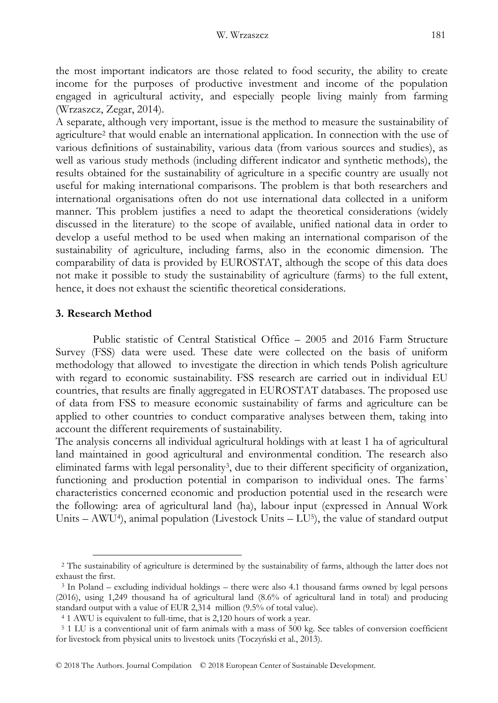the most important indicators are those related to food security, the ability to create income for the purposes of productive investment and income of the population engaged in agricultural activity, and especially people living mainly from farming (Wrzaszcz, Zegar, 2014).

A separate, although very important, issue is the method to measure the sustainability of agriculture<sup>2</sup> that would enable an international application. In connection with the use of various definitions of sustainability, various data (from various sources and studies), as well as various study methods (including different indicator and synthetic methods), the results obtained for the sustainability of agriculture in a specific country are usually not useful for making international comparisons. The problem is that both researchers and international organisations often do not use international data collected in a uniform manner. This problem justifies a need to adapt the theoretical considerations (widely discussed in the literature) to the scope of available, unified national data in order to develop a useful method to be used when making an international comparison of the sustainability of agriculture, including farms, also in the economic dimension. The comparability of data is provided by EUROSTAT, although the scope of this data does not make it possible to study the sustainability of agriculture (farms) to the full extent, hence, it does not exhaust the scientific theoretical considerations.

#### **3. Research Method**

-

Public statistic of Central Statistical Office – 2005 and 2016 Farm Structure Survey (FSS) data were used. These date were collected on the basis of uniform methodology that allowed to investigate the direction in which tends Polish agriculture with regard to economic sustainability. FSS research are carried out in individual EU countries, that results are finally aggregated in EUROSTAT databases. The proposed use of data from FSS to measure economic sustainability of farms and agriculture can be applied to other countries to conduct comparative analyses between them, taking into account the different requirements of sustainability.

The analysis concerns all individual agricultural holdings with at least 1 ha of agricultural land maintained in good agricultural and environmental condition. The research also eliminated farms with legal personality<sup>3</sup>, due to their different specificity of organization, functioning and production potential in comparison to individual ones. The farms` characteristics concerned economic and production potential used in the research were the following: area of agricultural land (ha), labour input (expressed in Annual Work Units – AWU<sup>4</sup>), animal population (Livestock Units – LU<sup>5</sup>), the value of standard output

© 2018 The Authors. Journal Compilation © 2018 European Center of Sustainable Development.

<sup>2</sup> The sustainability of agriculture is determined by the sustainability of farms, although the latter does not exhaust the first.

<sup>3</sup> In Poland – excluding individual holdings – there were also 4.1 thousand farms owned by legal persons (2016), using 1,249 thousand ha of agricultural land (8.6% of agricultural land in total) and producing standard output with a value of EUR 2,314 million (9.5% of total value).

<sup>4</sup> 1 AWU is equivalent to full-time, that is 2,120 hours of work a year.

<sup>5</sup> 1 LU is a conventional unit of farm animals with a mass of 500 kg. See tables of conversion coefficient for livestock from physical units to livestock units (Toczyński et al., 2013).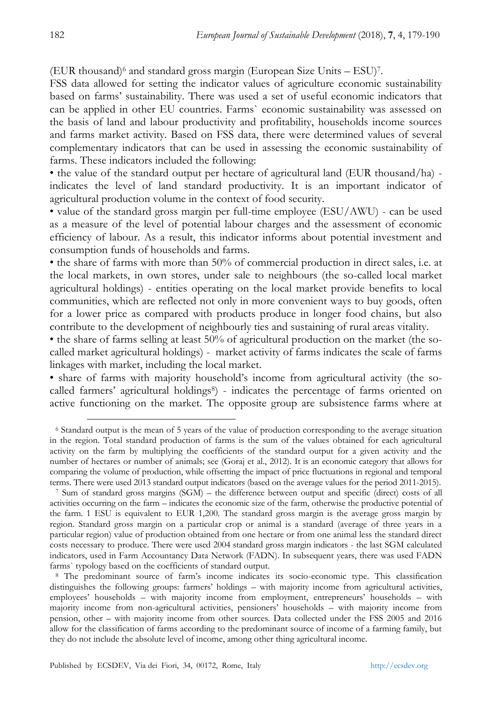$(EUR thousand)^6$  and standard gross margin (European Size Units  $-$  ESU)<sup>7</sup>.

FSS data allowed for setting the indicator values of agriculture economic sustainability based on farms' sustainability. There was used a set of useful economic indicators that can be applied in other EU countries. Farms` economic sustainability was assessed on the basis of land and labour productivity and profitability, households income sources and farms market activity. Based on FSS data, there were determined values of several complementary indicators that can be used in assessing the economic sustainability of farms. These indicators included the following:

• the value of the standard output per hectare of agricultural land (EUR thousand/ha) indicates the level of land standard productivity. It is an important indicator of agricultural production volume in the context of food security.

• value of the standard gross margin per full-time employee (ESU/AWU) - can be used as a measure of the level of potential labour charges and the assessment of economic efficiency of labour. As a result, this indicator informs about potential investment and consumption funds of households and farms.

• the share of farms with more than 50% of commercial production in direct sales, i.e. at the local markets, in own stores, under sale to neighbours (the so-called local market agricultural holdings) - entities operating on the local market provide benefits to local communities, which are reflected not only in more convenient ways to buy goods, often for a lower price as compared with products produce in longer food chains, but also contribute to the development of neighbourly ties and sustaining of rural areas vitality.

• the share of farms selling at least 50% of agricultural production on the market (the socalled market agricultural holdings) - market activity of farms indicates the scale of farms linkages with market, including the local market.

• share of farms with majority household's income from agricultural activity (the socalled farmers' agricultural holdings<sup>8</sup>) - indicates the percentage of farms oriented on active functioning on the market. The opposite group are subsistence farms where at

1

<sup>6</sup> Standard output is the mean of 5 years of the value of production corresponding to the average situation in the region. Total standard production of farms is the sum of the values obtained for each agricultural activity on the farm by multiplying the coefficients of the standard output for a given activity and the number of hectares or number of animals; see (Goraj et al., 2012). It is an economic category that allows for comparing the volume of production, while offsetting the impact of price fluctuations in regional and temporal terms. There were used 2013 standard output indicators (based on the average values for the period 2011-2015).

<sup>7</sup> Sum of standard gross margins (SGM) – the difference between output and specific (direct) costs of all activities occurring on the farm – indicates the economic size of the farm, otherwise the productive potential of the farm. 1 ESU is equivalent to EUR 1,200. The standard gross margin is the average gross margin by region. Standard gross margin on a particular crop or animal is a standard (average of three years in a particular region) value of production obtained from one hectare or from one animal less the standard direct costs necessary to produce. There were used 2004 standard gross margin indicators - the last SGM calculated indicators, used in Farm Accountancy Data Network (FADN). In subsequent years, there was used FADN farms` typology based on the coefficients of standard output.

<sup>8</sup> The predominant source of farm's income indicates its socio-economic type. This classification distinguishes the following groups: farmers' holdings – with majority income from agricultural activities, employees' households – with majority income from employment, entrepreneurs' households – with majority income from non-agricultural activities, pensioners' households – with majority income from pension, other – with majority income from other sources. Data collected under the FSS 2005 and 2016 allow for the classification of farms according to the predominant source of income of a farming family, but they do not include the absolute level of income, among other thing agricultural income.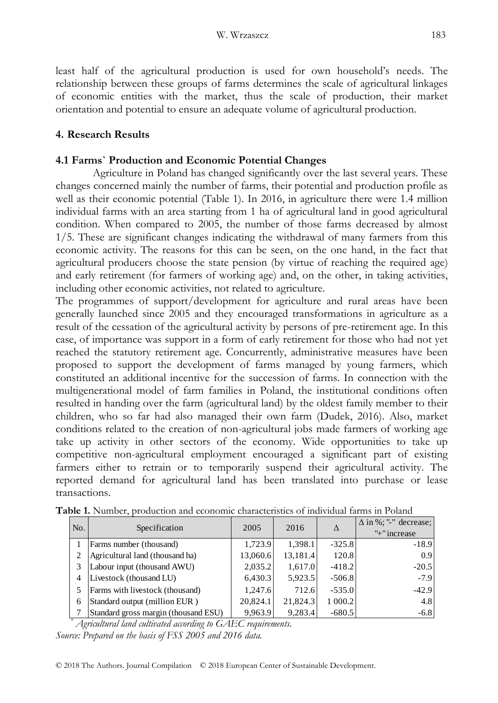least half of the agricultural production is used for own household's needs. The relationship between these groups of farms determines the scale of agricultural linkages of economic entities with the market, thus the scale of production, their market orientation and potential to ensure an adequate volume of agricultural production.

## **4. Research Results**

#### **4.1 Farms` Production and Economic Potential Changes**

Agriculture in Poland has changed significantly over the last several years. These changes concerned mainly the number of farms, their potential and production profile as well as their economic potential (Table 1). In 2016, in agriculture there were 1.4 million individual farms with an area starting from 1 ha of agricultural land in good agricultural condition. When compared to 2005, the number of those farms decreased by almost 1/5. These are significant changes indicating the withdrawal of many farmers from this economic activity. The reasons for this can be seen, on the one hand, in the fact that agricultural producers choose the state pension (by virtue of reaching the required age) and early retirement (for farmers of working age) and, on the other, in taking activities, including other economic activities, not related to agriculture.

The programmes of support/development for agriculture and rural areas have been generally launched since 2005 and they encouraged transformations in agriculture as a result of the cessation of the agricultural activity by persons of pre-retirement age. In this case, of importance was support in a form of early retirement for those who had not yet reached the statutory retirement age. Concurrently, administrative measures have been proposed to support the development of farms managed by young farmers, which constituted an additional incentive for the succession of farms. In connection with the multigenerational model of farm families in Poland, the institutional conditions often resulted in handing over the farm (agricultural land) by the oldest family member to their children, who so far had also managed their own farm (Dudek, 2016). Also, market conditions related to the creation of non-agricultural jobs made farmers of working age take up activity in other sectors of the economy. Wide opportunities to take up competitive non-agricultural employment encouraged a significant part of existing farmers either to retrain or to temporarily suspend their agricultural activity. The reported demand for agricultural land has been translated into purchase or lease transactions.

| No.                                                          | Specification                        | 2005     | 2016     |          | $\Delta$ in %; "-" decrease; |  |
|--------------------------------------------------------------|--------------------------------------|----------|----------|----------|------------------------------|--|
|                                                              |                                      |          |          |          | "+" increase                 |  |
| 1                                                            | Farms number (thousand)              | 1,723.9  | 1,398.1  | $-325.8$ | $-18.9$                      |  |
| 2                                                            | Agricultural land (thousand ha)      | 13,060.6 | 13,181.4 | 120.8    | 0.9                          |  |
| 3                                                            | Labour input (thousand AWU)          | 2,035.2  | 1,617.0  | $-418.2$ | $-20.5$                      |  |
| 4                                                            | Livestock (thousand LU)              | 6,430.3  | 5,923.5  | $-506.8$ | $-7.9$                       |  |
| 5                                                            | Farms with livestock (thousand)      | 1.247.6  | 712.6    | $-535.0$ | $-42.9$                      |  |
| 6                                                            | Standard output (million EUR)        | 20,824.1 | 21,824.3 | 1 000.2  | 4.8                          |  |
|                                                              | Standard gross margin (thousand ESU) | 9,963.9  | 9,283.4  | $-680.5$ | $-6.8$                       |  |
| Agricultural land cultivated according to GAEC requirements. |                                      |          |          |          |                              |  |
| Source: Prepared on the basis of FSS 2005 and 2016 data.     |                                      |          |          |          |                              |  |

**Table 1.** Number, production and economic characteristics of individual farms in Poland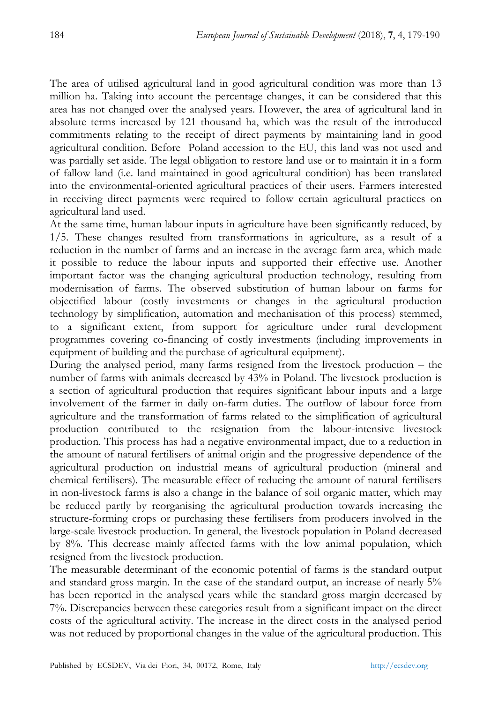The area of utilised agricultural land in good agricultural condition was more than 13 million ha. Taking into account the percentage changes, it can be considered that this area has not changed over the analysed years. However, the area of agricultural land in absolute terms increased by 121 thousand ha, which was the result of the introduced commitments relating to the receipt of direct payments by maintaining land in good agricultural condition. Before Poland accession to the EU, this land was not used and was partially set aside. The legal obligation to restore land use or to maintain it in a form of fallow land (i.e. land maintained in good agricultural condition) has been translated into the environmental-oriented agricultural practices of their users. Farmers interested in receiving direct payments were required to follow certain agricultural practices on agricultural land used.

At the same time, human labour inputs in agriculture have been significantly reduced, by 1/5. These changes resulted from transformations in agriculture, as a result of a reduction in the number of farms and an increase in the average farm area, which made it possible to reduce the labour inputs and supported their effective use. Another important factor was the changing agricultural production technology, resulting from modernisation of farms. The observed substitution of human labour on farms for objectified labour (costly investments or changes in the agricultural production technology by simplification, automation and mechanisation of this process) stemmed, to a significant extent, from support for agriculture under rural development programmes covering co-financing of costly investments (including improvements in equipment of building and the purchase of agricultural equipment).

During the analysed period, many farms resigned from the livestock production – the number of farms with animals decreased by 43% in Poland. The livestock production is a section of agricultural production that requires significant labour inputs and a large involvement of the farmer in daily on-farm duties. The outflow of labour force from agriculture and the transformation of farms related to the simplification of agricultural production contributed to the resignation from the labour-intensive livestock production. This process has had a negative environmental impact, due to a reduction in the amount of natural fertilisers of animal origin and the progressive dependence of the agricultural production on industrial means of agricultural production (mineral and chemical fertilisers). The measurable effect of reducing the amount of natural fertilisers in non-livestock farms is also a change in the balance of soil organic matter, which may be reduced partly by reorganising the agricultural production towards increasing the structure-forming crops or purchasing these fertilisers from producers involved in the large-scale livestock production. In general, the livestock population in Poland decreased by 8%. This decrease mainly affected farms with the low animal population, which resigned from the livestock production.

The measurable determinant of the economic potential of farms is the standard output and standard gross margin. In the case of the standard output, an increase of nearly 5% has been reported in the analysed years while the standard gross margin decreased by 7%. Discrepancies between these categories result from a significant impact on the direct costs of the agricultural activity. The increase in the direct costs in the analysed period was not reduced by proportional changes in the value of the agricultural production. This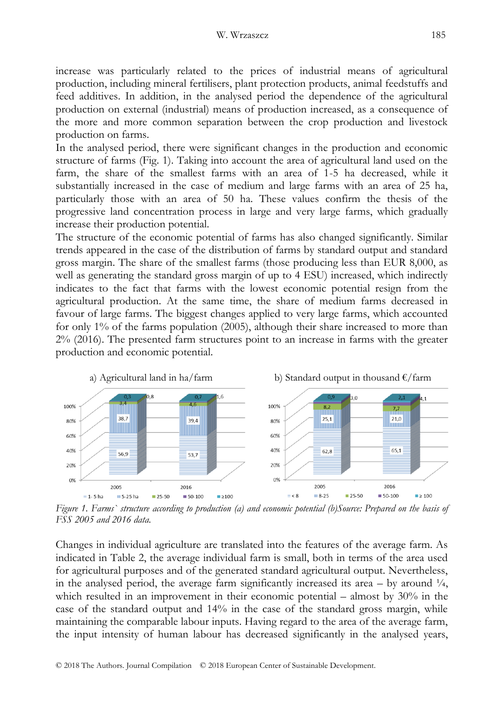increase was particularly related to the prices of industrial means of agricultural production, including mineral fertilisers, plant protection products, animal feedstuffs and feed additives. In addition, in the analysed period the dependence of the agricultural production on external (industrial) means of production increased, as a consequence of the more and more common separation between the crop production and livestock production on farms.

In the analysed period, there were significant changes in the production and economic structure of farms (Fig. 1). Taking into account the area of agricultural land used on the farm, the share of the smallest farms with an area of 1-5 ha decreased, while it substantially increased in the case of medium and large farms with an area of 25 ha, particularly those with an area of 50 ha. These values confirm the thesis of the progressive land concentration process in large and very large farms, which gradually increase their production potential.

The structure of the economic potential of farms has also changed significantly. Similar trends appeared in the case of the distribution of farms by standard output and standard gross margin. The share of the smallest farms (those producing less than EUR 8,000, as well as generating the standard gross margin of up to 4 ESU) increased, which indirectly indicates to the fact that farms with the lowest economic potential resign from the agricultural production. At the same time, the share of medium farms decreased in favour of large farms. The biggest changes applied to very large farms, which accounted for only 1% of the farms population (2005), although their share increased to more than 2% (2016). The presented farm structures point to an increase in farms with the greater production and economic potential.



*Figure 1. Farms` structure according to production (a) and economic potential (b)Source: Prepared on the basis of FSS 2005 and 2016 data.*

Changes in individual agriculture are translated into the features of the average farm. As indicated in Table 2, the average individual farm is small, both in terms of the area used for agricultural purposes and of the generated standard agricultural output. Nevertheless, in the analysed period, the average farm significantly increased its area  $-$  by around  $\frac{1}{4}$ , which resulted in an improvement in their economic potential – almost by 30% in the case of the standard output and 14% in the case of the standard gross margin, while maintaining the comparable labour inputs. Having regard to the area of the average farm, the input intensity of human labour has decreased significantly in the analysed years,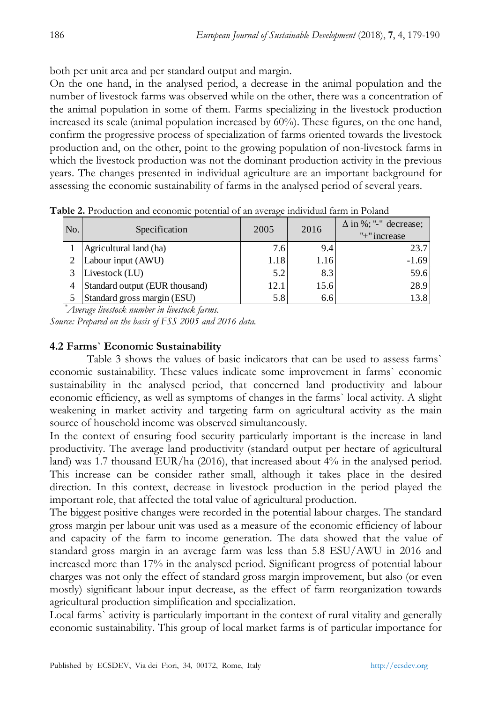both per unit area and per standard output and margin.

On the one hand, in the analysed period, a decrease in the animal population and the number of livestock farms was observed while on the other, there was a concentration of the animal population in some of them. Farms specializing in the livestock production increased its scale (animal population increased by 60%). These figures, on the one hand, confirm the progressive process of specialization of farms oriented towards the livestock production and, on the other, point to the growing population of non-livestock farms in which the livestock production was not the dominant production activity in the previous years. The changes presented in individual agriculture are an important background for assessing the economic sustainability of farms in the analysed period of several years.

| No. | Specification                  | 2005 | 2016 | $\Delta$ in %; "-" decrease;<br>"+" increase |
|-----|--------------------------------|------|------|----------------------------------------------|
|     | Agricultural land (ha)         | 7.6  | 9.4  | 23.7                                         |
|     | Labour input (AWU)             | 1.18 | 1.16 | $-1.69$                                      |
|     | Livestock (LU)                 | 5.2  | 8.3  | 59.6                                         |
|     | Standard output (EUR thousand) | 12.1 | 15.6 | 28.9                                         |
|     | Standard gross margin (ESU)    | 5.8  | 6.6  | 13.8                                         |

**Table 2.** Production and economic potential of an average individual farm in Poland

*\*Average livestock number in livestock farms.*

*Source: Prepared on the basis of FSS 2005 and 2016 data.*

# **4.2 Farms` Economic Sustainability**

Table 3 shows the values of basic indicators that can be used to assess farms` economic sustainability. These values indicate some improvement in farms` economic sustainability in the analysed period, that concerned land productivity and labour economic efficiency, as well as symptoms of changes in the farms` local activity. A slight weakening in market activity and targeting farm on agricultural activity as the main source of household income was observed simultaneously.

In the context of ensuring food security particularly important is the increase in land productivity. The average land productivity (standard output per hectare of agricultural land) was 1.7 thousand EUR/ha (2016), that increased about 4% in the analysed period. This increase can be consider rather small, although it takes place in the desired direction. In this context, decrease in livestock production in the period played the important role, that affected the total value of agricultural production.

The biggest positive changes were recorded in the potential labour charges. The standard gross margin per labour unit was used as a measure of the economic efficiency of labour and capacity of the farm to income generation. The data showed that the value of standard gross margin in an average farm was less than 5.8 ESU/AWU in 2016 and increased more than 17% in the analysed period. Significant progress of potential labour charges was not only the effect of standard gross margin improvement, but also (or even mostly) significant labour input decrease, as the effect of farm reorganization towards agricultural production simplification and specialization.

Local farms` activity is particularly important in the context of rural vitality and generally economic sustainability. This group of local market farms is of particular importance for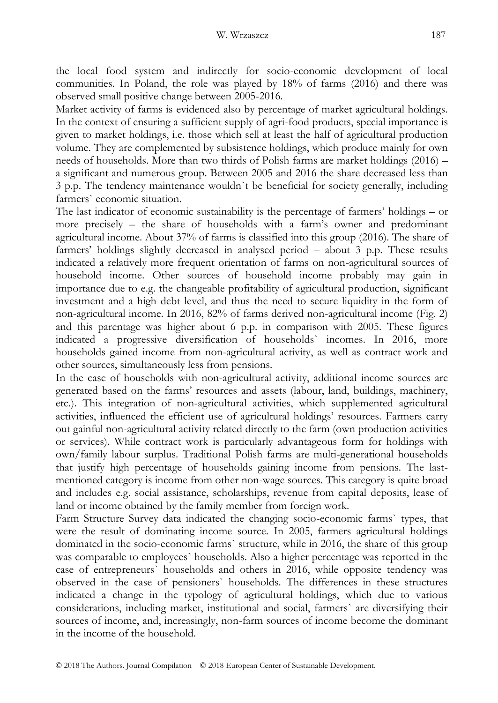the local food system and indirectly for socio-economic development of local communities. In Poland, the role was played by 18% of farms (2016) and there was observed small positive change between 2005-2016.

Market activity of farms is evidenced also by percentage of market agricultural holdings. In the context of ensuring a sufficient supply of agri-food products, special importance is given to market holdings, i.e. those which sell at least the half of agricultural production volume. They are complemented by subsistence holdings, which produce mainly for own needs of households. More than two thirds of Polish farms are market holdings (2016) – a significant and numerous group. Between 2005 and 2016 the share decreased less than 3 p.p. The tendency maintenance wouldn`t be beneficial for society generally, including farmers` economic situation.

The last indicator of economic sustainability is the percentage of farmers' holdings – or more precisely – the share of households with a farm's owner and predominant agricultural income. About 37% of farms is classified into this group (2016). The share of farmers' holdings slightly decreased in analysed period – about 3 p.p. These results indicated a relatively more frequent orientation of farms on non-agricultural sources of household income. Other sources of household income probably may gain in importance due to e.g. the changeable profitability of agricultural production, significant investment and a high debt level, and thus the need to secure liquidity in the form of non-agricultural income. In 2016, 82% of farms derived non-agricultural income (Fig. 2) and this parentage was higher about 6 p.p. in comparison with 2005. These figures indicated a progressive diversification of households` incomes. In 2016, more households gained income from non-agricultural activity, as well as contract work and other sources, simultaneously less from pensions.

In the case of households with non-agricultural activity, additional income sources are generated based on the farms' resources and assets (labour, land, buildings, machinery, etc.). This integration of non-agricultural activities, which supplemented agricultural activities, influenced the efficient use of agricultural holdings' resources. Farmers carry out gainful non-agricultural activity related directly to the farm (own production activities or services). While contract work is particularly advantageous form for holdings with own/family labour surplus. Traditional Polish farms are multi-generational households that justify high percentage of households gaining income from pensions. The lastmentioned category is income from other non-wage sources. This category is quite broad and includes e.g. social assistance, scholarships, revenue from capital deposits, lease of land or income obtained by the family member from foreign work.

Farm Structure Survey data indicated the changing socio-economic farms` types, that were the result of dominating income source. In 2005, farmers agricultural holdings dominated in the socio-economic farms` structure, while in 2016, the share of this group was comparable to employees` households. Also a higher percentage was reported in the case of entrepreneurs` households and others in 2016, while opposite tendency was observed in the case of pensioners` households. The differences in these structures indicated a change in the typology of agricultural holdings, which due to various considerations, including market, institutional and social, farmers` are diversifying their sources of income, and, increasingly, non-farm sources of income become the dominant in the income of the household.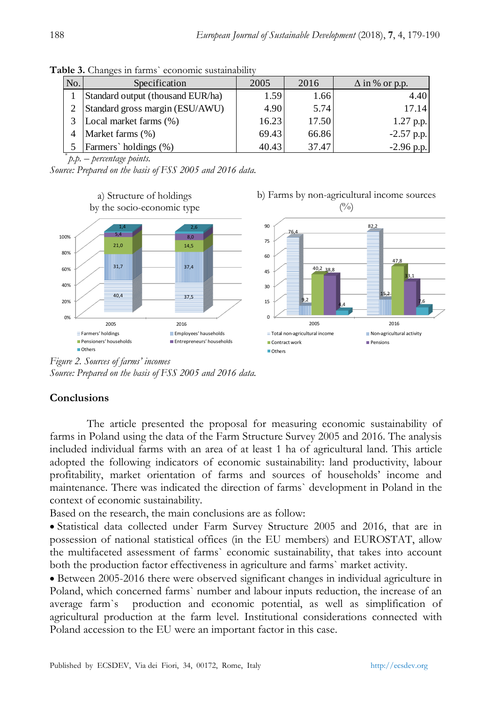| No.            | Specification                     | 2005  | 2016  | $\Delta$ in % or p.p. |
|----------------|-----------------------------------|-------|-------|-----------------------|
|                | Standard output (thousand EUR/ha) | 1.59  | 1.66  | 4.40                  |
| 2              | Standard gross margin (ESU/AWU)   | 4.90  | 5.74  | 17.14                 |
|                | Local market farms (%)            | 16.23 | 17.50 | $1.27$ p.p.           |
| $\overline{4}$ | Market farms (%)                  | 69.43 | 66.86 | $-2.57$ p.p.          |
|                | Farmers' holdings (%)             | 40.43 | 37.47 | $-2.96$ p.p.          |

Table 3. Changes in farms` economic sustainability

*\* p.p. – percentage points.*

*Source: Prepared on the basis of FSS 2005 and 2016 data.*



*Figure 2. Sources of farms' incomes Source: Prepared on the basis of FSS 2005 and 2016 data.*

# **Conclusions**

The article presented the proposal for measuring economic sustainability of farms in Poland using the data of the Farm Structure Survey 2005 and 2016. The analysis included individual farms with an area of at least 1 ha of agricultural land. This article adopted the following indicators of economic sustainability: land productivity, labour profitability, market orientation of farms and sources of households' income and maintenance. There was indicated the direction of farms` development in Poland in the context of economic sustainability.

Based on the research, the main conclusions are as follow:

 Statistical data collected under Farm Survey Structure 2005 and 2016, that are in possession of national statistical offices (in the EU members) and EUROSTAT, allow the multifaceted assessment of farms` economic sustainability, that takes into account both the production factor effectiveness in agriculture and farms` market activity.

 Between 2005-2016 there were observed significant changes in individual agriculture in Poland, which concerned farms` number and labour inputs reduction, the increase of an average farm`s production and economic potential, as well as simplification of agricultural production at the farm level. Institutional considerations connected with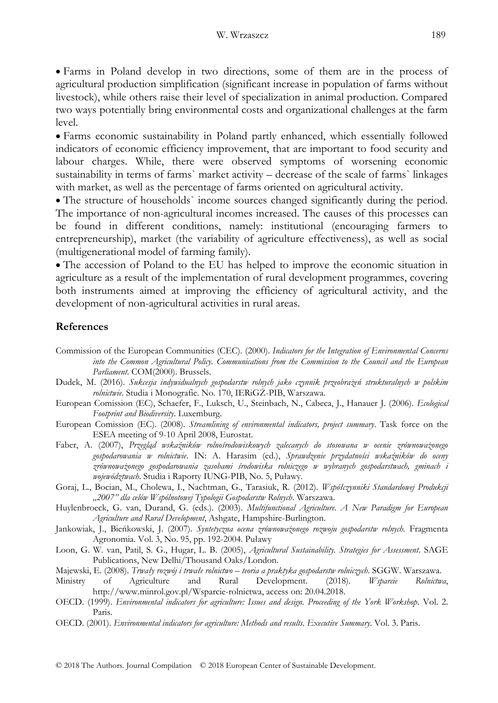Farms in Poland develop in two directions, some of them are in the process of agricultural production simplification (significant increase in population of farms without livestock), while others raise their level of specialization in animal production. Compared two ways potentially bring environmental costs and organizational challenges at the farm level.

 Farms economic sustainability in Poland partly enhanced, which essentially followed indicators of economic efficiency improvement, that are important to food security and labour charges. While, there were observed symptoms of worsening economic sustainability in terms of farms` market activity – decrease of the scale of farms` linkages with market, as well as the percentage of farms oriented on agricultural activity.

 The structure of households` income sources changed significantly during the period. The importance of non-agricultural incomes increased. The causes of this processes can be found in different conditions, namely: institutional (encouraging farmers to entrepreneurship), market (the variability of agriculture effectiveness), as well as social (multigenerational model of farming family).

 The accession of Poland to the EU has helped to improve the economic situation in agriculture as a result of the implementation of rural development programmes, covering both instruments aimed at improving the efficiency of agricultural activity, and the development of non-agricultural activities in rural areas.

#### **References**

- Commission of the European Communities (CEC). (2000). *Indicators for the Integration of Environmental Concerns into the Common Agricultural Policy. Communications from the Commission to the Council and the European Parliament*. COM(2000). Brussels.
- Dudek, M. (2016). *Sukcesja indywidualnych gospodarstw rolnych jako czynnik przeobrażeń strukturalnych w polskim rolnictwie*. Studia i Monografie. No. 170, IERiGŻ-PIB, Warszawa.
- European Comission (EC), Schaefer, F., Luksch, U., Steinbach, N., Cabeca, J., Hanauer J. (2006). *Ecological Footprint and Biodiversity*. Luxemburg.
- European Comission (EC). (2008). *Streamlining of environmental indicators, project summary*. Task force on the ESEA meeting of 9-10 April 2008, Eurostat.
- Faber, A. (2007), *Przegląd wskaźników rolnośrodowiskowych zalecanych do stosowana w ocenie zrównoważonego gospodarowania w rolnictwie*. IN: A. Harasim (ed.), *Sprawdzenie przydatności wskaźników do oceny zrównoważonego gospodarowania zasobami środowiska rolniczego w wybranych gospodarstwach, gminach i województwach*. Studia i Raporty IUNG-PIB, No. 5, Puławy.
- Goraj, L., Bocian, M., Cholewa, I., Nachtman, G., Tarasiuk, R. (2012). *Współczynniki Standardowej Produkcji "2007" dla celów Wspólnotowej Typologii Gospodarstw Rolnych*. Warszawa.
- Huylenbroeck, G. van, Durand, G. (eds.). (2003). *Multifunctional Agriculture. A New Paradigm for European Agriculture and Rural Development*, Ashgate, Hampshire-Burlington.
- Jankowiak, J., Bieńkowski, J. (2007). Syntetyczna ocena zrównoważonego rozwoju gospodarstw rolnych. Fragmenta Agronomia. Vol. 3, No. 95, pp. 192-2004. Puławy
- Loon, G. W. van, Patil, S. G., Hugar, L. B. (2005), *Agricultural Sustainability. Strategies for Assessment*. SAGE Publications, New Delhi/Thousand Oaks/London.

Majewski, E. (2008). *Trwały rozwój i trwałe rolnictwo – teoria a praktyka gospodarstw rolniczych*. SGGW. Warszawa.

- Ministry of Agriculture and Rural Development. (2018). *Wsparcie Rolnictwa*, http://www.minrol.gov.pl/Wsparcie-rolnictwa, access on: 20.04.2018.
- OECD. (1999). *Environmental indicators for agriculture: Issues and design. Proceeding of the York Workshop*. Vol. 2. Paris.
- OECD. (2001). *Environmental indicators for agriculture: Methods and results. Executive Summary*. Vol. 3. Paris.